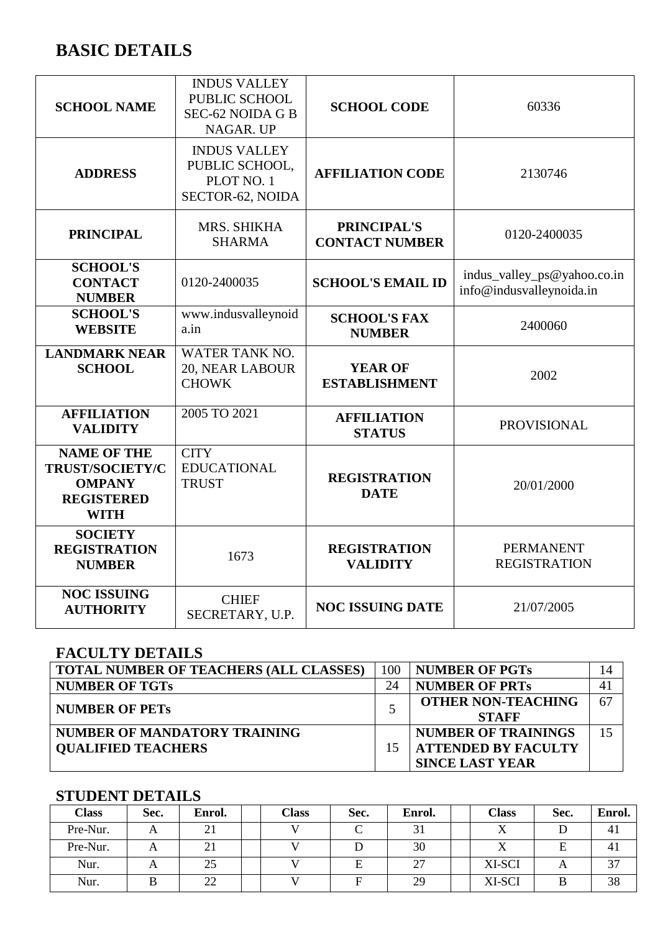# **BASIC DETAILS**

| <b>SCHOOL NAME</b>                                                                         | <b>INDUS VALLEY</b><br>PUBLIC SCHOOL<br><b>SEC-62 NOIDA G B</b><br>NAGAR. UP | <b>SCHOOL CODE</b>                          | 60336                                                   |
|--------------------------------------------------------------------------------------------|------------------------------------------------------------------------------|---------------------------------------------|---------------------------------------------------------|
| <b>ADDRESS</b>                                                                             | <b>INDUS VALLEY</b><br>PUBLIC SCHOOL,<br>PLOT NO. 1<br>SECTOR-62, NOIDA      | <b>AFFILIATION CODE</b>                     | 2130746                                                 |
| <b>PRINCIPAL</b>                                                                           | MRS. SHIKHA<br><b>SHARMA</b>                                                 | <b>PRINCIPAL'S</b><br><b>CONTACT NUMBER</b> | 0120-2400035                                            |
| <b>SCHOOL'S</b><br><b>CONTACT</b><br><b>NUMBER</b>                                         | 0120-2400035                                                                 | <b>SCHOOL'S EMAIL ID</b>                    | indus_valley_ps@yahoo.co.in<br>info@indusvalleynoida.in |
| <b>SCHOOL'S</b><br><b>WEBSITE</b>                                                          | www.indusvalleynoid<br>a.in                                                  | <b>SCHOOL'S FAX</b><br><b>NUMBER</b>        | 2400060                                                 |
| <b>LANDMARK NEAR</b><br><b>SCHOOL</b>                                                      | <b>WATER TANK NO.</b><br>20, NEAR LABOUR<br><b>CHOWK</b>                     | <b>YEAR OF</b><br><b>ESTABLISHMENT</b>      | 2002                                                    |
| <b>AFFILIATION</b><br><b>VALIDITY</b>                                                      | 2005 TO 2021                                                                 | <b>AFFILIATION</b><br><b>STATUS</b>         | <b>PROVISIONAL</b>                                      |
| <b>NAME OF THE</b><br>TRUST/SOCIETY/C<br><b>OMPANY</b><br><b>REGISTERED</b><br><b>WITH</b> | <b>CITY</b><br><b>EDUCATIONAL</b><br><b>TRUST</b>                            | <b>REGISTRATION</b><br><b>DATE</b>          | 20/01/2000                                              |
| <b>SOCIETY</b><br><b>REGISTRATION</b><br><b>NUMBER</b>                                     | 1673                                                                         | <b>REGISTRATION</b><br><b>VALIDITY</b>      | <b>PERMANENT</b><br><b>REGISTRATION</b>                 |
| <b>NOC ISSUING</b><br><b>AUTHORITY</b>                                                     | <b>CHIEF</b><br>SECRETARY, U.P.                                              | <b>NOC ISSUING DATE</b>                     | 21/07/2005                                              |

## **FACULTY DETAILS**

| <b>TOTAL NUMBER OF TEACHERS (ALL CLASSES)</b> | 100 | <b>NUMBER OF PGTs</b>      | 14 |
|-----------------------------------------------|-----|----------------------------|----|
| <b>NUMBER OF TGTs</b>                         | 24  | <b>NUMBER OF PRTs</b>      | 41 |
| <b>NUMBER OF PETS</b>                         |     | <b>OTHER NON-TEACHING</b>  | 67 |
|                                               |     | <b>STAFF</b>               |    |
| NUMBER OF MANDATORY TRAINING                  |     | <b>NUMBER OF TRAININGS</b> | 15 |
| <b>OUALIFIED TEACHERS</b>                     |     | <b>ATTENDED BY FACULTY</b> |    |
|                                               |     | <b>SINCE LAST YEAR</b>     |    |

### **STUDENT DETAILS**

| <b>Class</b> | Sec. | Enrol. | Class | Sec. | Enrol. | <b>Class</b> | Sec. | Enrol. |
|--------------|------|--------|-------|------|--------|--------------|------|--------|
| Pre-Nur.     |      | 21     |       |      |        |              |      |        |
| Pre-Nur.     |      | 21     |       |      | 30     |              |      |        |
| Nur.         |      | 25     |       |      |        | XI-SCI       |      | $\sim$ |
| Nur.         |      | 22     |       |      | 29     | XI-SCI       |      | 38     |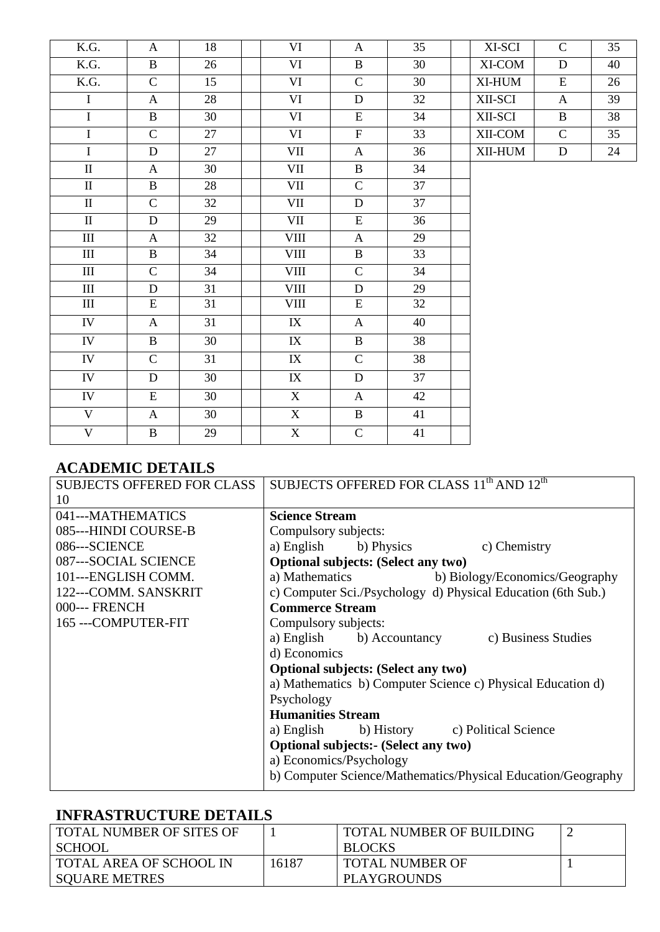| K.G.                    | $\mathbf{A}$   | 18 | VI          | $\mathbf{A}$ | 35 | XI-SCI  | $\mathsf{C}$ | 35 |
|-------------------------|----------------|----|-------------|--------------|----|---------|--------------|----|
| K.G.                    | $\, {\bf B}$   | 26 | VI          | $\mathbf{B}$ | 30 | XI-COM  | D            | 40 |
| K.G.                    | $\overline{C}$ | 15 | VI          | $\mathsf{C}$ | 30 | XI-HUM  | E            | 26 |
| $\overline{I}$          | $\mathbf{A}$   | 28 | VI          | D            | 32 | XII-SCI | $\mathbf{A}$ | 39 |
| $\overline{I}$          | $\mathbf{B}$   | 30 | VI          | ${\bf E}$    | 34 | XII-SCI | $\mathbf{B}$ | 38 |
| $\bf I$                 | $\mathsf{C}$   | 27 | VI          | $\mathbf{F}$ | 33 | XII-COM | $\mathbf C$  | 35 |
| $\mathbf I$             | $\mathbf D$    | 27 | VII         | $\mathbf{A}$ | 36 | XII-HUM | D            | 24 |
| $\rm II$                | $\mathbf{A}$   | 30 | VII         | $\mathbf{B}$ | 34 |         |              |    |
| $\rm II$                | $\mathbf{B}$   | 28 | VII         | $\mathbf{C}$ | 37 |         |              |    |
| $\rm II$                | $\mathbf{C}$   | 32 | VII         | $\mathbf{D}$ | 37 |         |              |    |
| $\rm II$                | $\mathbf D$    | 29 | VII         | ${\bf E}$    | 36 |         |              |    |
| III                     | $\mathbf{A}$   | 32 | <b>VIII</b> | $\mathbf{A}$ | 29 |         |              |    |
| $\rm III$               | $\bf{B}$       | 34 | <b>VIII</b> | $\mathbf{B}$ | 33 |         |              |    |
| III                     | $\mathsf{C}$   | 34 | VIII        | $\mathbf C$  | 34 |         |              |    |
| $\rm III$               | $\mathbf D$    | 31 | VIII        | $\mathbf D$  | 29 |         |              |    |
| III                     | ${\bf E}$      | 31 | VIII        | E            | 32 |         |              |    |
| IV                      | $\mathbf{A}$   | 31 | IX          | $\mathbf{A}$ | 40 |         |              |    |
| IV                      | $\, {\bf B}$   | 30 | IX          | $\mathbf{B}$ | 38 |         |              |    |
| IV                      | $\mathsf{C}$   | 31 | IX          | $\mathbf C$  | 38 |         |              |    |
| IV                      | $\mathbf{D}$   | 30 | IX          | D            | 37 |         |              |    |
| IV                      | ${\bf E}$      | 30 | X           | $\mathbf{A}$ | 42 |         |              |    |
| $\mathbf V$             | $\mathbf{A}$   | 30 | $\mathbf X$ | $\mathbf{B}$ | 41 |         |              |    |
| $\overline{\mathbf{V}}$ | $\bf{B}$       | 29 | X           | $\mathbf C$  | 41 |         |              |    |

#### **ACADEMIC DETAILS**

| <b>SUBJECTS OFFERED FOR CLASS</b> | SUBJECTS OFFERED FOR CLASS 11 <sup>th</sup> AND 12 <sup>th</sup> |  |  |  |  |
|-----------------------------------|------------------------------------------------------------------|--|--|--|--|
| 10                                |                                                                  |  |  |  |  |
| 041---MATHEMATICS                 | <b>Science Stream</b>                                            |  |  |  |  |
| 085---HINDI COURSE-B              | Compulsory subjects:                                             |  |  |  |  |
| 086---SCIENCE                     | a) English b) Physics c) Chemistry                               |  |  |  |  |
| 087---SOCIAL SCIENCE              | Optional subjects: (Select any two)                              |  |  |  |  |
| 101---ENGLISH COMM.               | a) Mathematics<br>b) Biology/Economics/Geography                 |  |  |  |  |
| 122---COMM. SANSKRIT              | c) Computer Sci./Psychology d) Physical Education (6th Sub.)     |  |  |  |  |
| 000--- FRENCH                     | <b>Commerce Stream</b>                                           |  |  |  |  |
| 165 --- COMPUTER-FIT              | Compulsory subjects:                                             |  |  |  |  |
|                                   | a) English b) Accountancy c) Business Studies                    |  |  |  |  |
|                                   | d) Economics                                                     |  |  |  |  |
|                                   | Optional subjects: (Select any two)                              |  |  |  |  |
|                                   | a) Mathematics b) Computer Science c) Physical Education d)      |  |  |  |  |
|                                   | Psychology                                                       |  |  |  |  |
|                                   | <b>Humanities Stream</b>                                         |  |  |  |  |
|                                   | a) English b) History c) Political Science                       |  |  |  |  |
|                                   | <b>Optional subjects:- (Select any two)</b>                      |  |  |  |  |
|                                   | a) Economics/Psychology                                          |  |  |  |  |
|                                   | b) Computer Science/Mathematics/Physical Education/Geography     |  |  |  |  |

#### **INFRASTRUCTURE DETAILS**

| <b>TOTAL NUMBER OF SITES OF</b><br><b>SCHOOL</b>       |       | <b>TOTAL NUMBER OF BUILDING</b><br><b>BLOCKS</b> |  |
|--------------------------------------------------------|-------|--------------------------------------------------|--|
| <b>TOTAL AREA OF SCHOOL IN</b><br><b>SOUARE METRES</b> | 16187 | <b>TOTAL NUMBER OF</b><br>PLAYGROUNDS            |  |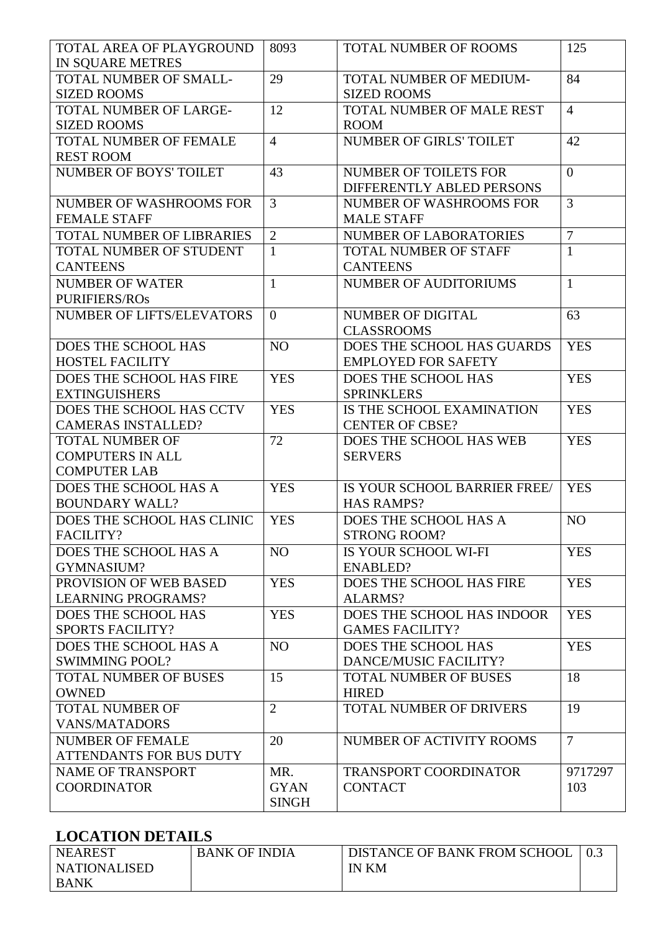| TOTAL AREA OF PLAYGROUND                       | 8093           | TOTAL NUMBER OF ROOMS                                | 125            |
|------------------------------------------------|----------------|------------------------------------------------------|----------------|
| IN SQUARE METRES                               |                |                                                      |                |
| TOTAL NUMBER OF SMALL-<br><b>SIZED ROOMS</b>   | 29             | <b>TOTAL NUMBER OF MEDIUM-</b><br><b>SIZED ROOMS</b> | 84             |
| TOTAL NUMBER OF LARGE-                         | 12             | TOTAL NUMBER OF MALE REST                            | $\overline{4}$ |
| <b>SIZED ROOMS</b>                             |                | <b>ROOM</b>                                          |                |
| <b>TOTAL NUMBER OF FEMALE</b>                  | $\overline{4}$ | <b>NUMBER OF GIRLS' TOILET</b>                       | 42             |
| <b>REST ROOM</b>                               |                |                                                      |                |
| <b>NUMBER OF BOYS' TOILET</b>                  | 43             | <b>NUMBER OF TOILETS FOR</b>                         | $\overline{0}$ |
|                                                |                | DIFFERENTLY ABLED PERSONS                            |                |
| NUMBER OF WASHROOMS FOR                        | $\overline{3}$ | NUMBER OF WASHROOMS FOR                              | $\overline{3}$ |
| <b>FEMALE STAFF</b>                            |                | <b>MALE STAFF</b>                                    |                |
| TOTAL NUMBER OF LIBRARIES                      | $\overline{2}$ | NUMBER OF LABORATORIES                               | $\overline{7}$ |
| TOTAL NUMBER OF STUDENT                        | $\mathbf{1}$   | <b>TOTAL NUMBER OF STAFF</b>                         | $\mathbf{1}$   |
| <b>CANTEENS</b>                                |                | <b>CANTEENS</b>                                      |                |
| <b>NUMBER OF WATER</b>                         | $\mathbf{1}$   | <b>NUMBER OF AUDITORIUMS</b>                         | $\mathbf{1}$   |
| <b>PURIFIERS/ROS</b>                           |                |                                                      |                |
| <b>NUMBER OF LIFTS/ELEVATORS</b>               | $\overline{0}$ | <b>NUMBER OF DIGITAL</b>                             | 63             |
|                                                |                | <b>CLASSROOMS</b>                                    |                |
| DOES THE SCHOOL HAS                            | NO             | DOES THE SCHOOL HAS GUARDS                           | <b>YES</b>     |
| <b>HOSTEL FACILITY</b>                         |                | <b>EMPLOYED FOR SAFETY</b>                           |                |
| DOES THE SCHOOL HAS FIRE                       | <b>YES</b>     | DOES THE SCHOOL HAS                                  | <b>YES</b>     |
| <b>EXTINGUISHERS</b>                           |                | <b>SPRINKLERS</b>                                    |                |
| DOES THE SCHOOL HAS CCTV                       | <b>YES</b>     | IS THE SCHOOL EXAMINATION                            | <b>YES</b>     |
| <b>CAMERAS INSTALLED?</b>                      |                | <b>CENTER OF CBSE?</b>                               |                |
| <b>TOTAL NUMBER OF</b>                         | 72             | DOES THE SCHOOL HAS WEB                              | <b>YES</b>     |
| <b>COMPUTERS IN ALL</b>                        |                | <b>SERVERS</b>                                       |                |
| <b>COMPUTER LAB</b>                            |                |                                                      |                |
| DOES THE SCHOOL HAS A                          | <b>YES</b>     | IS YOUR SCHOOL BARRIER FREE/                         | <b>YES</b>     |
| <b>BOUNDARY WALL?</b>                          |                | <b>HAS RAMPS?</b>                                    |                |
| DOES THE SCHOOL HAS CLINIC                     | <b>YES</b>     | DOES THE SCHOOL HAS A                                | N <sub>O</sub> |
| FACILITY?                                      |                | <b>STRONG ROOM?</b>                                  |                |
| DOES THE SCHOOL HAS A                          | N <sub>O</sub> | IS YOUR SCHOOL WI-FI                                 | <b>YES</b>     |
| <b>GYMNASIUM?</b>                              |                | <b>ENABLED?</b>                                      |                |
| PROVISION OF WEB BASED                         | <b>YES</b>     | DOES THE SCHOOL HAS FIRE                             | <b>YES</b>     |
| <b>LEARNING PROGRAMS?</b>                      |                | <b>ALARMS?</b>                                       |                |
| DOES THE SCHOOL HAS                            | <b>YES</b>     | DOES THE SCHOOL HAS INDOOR                           | <b>YES</b>     |
| <b>SPORTS FACILITY?</b>                        |                | <b>GAMES FACILITY?</b>                               |                |
| DOES THE SCHOOL HAS A<br><b>SWIMMING POOL?</b> | NO             | DOES THE SCHOOL HAS<br>DANCE/MUSIC FACILITY?         | <b>YES</b>     |
| TOTAL NUMBER OF BUSES                          | 15             | <b>TOTAL NUMBER OF BUSES</b>                         | 18             |
| <b>OWNED</b>                                   |                | <b>HIRED</b>                                         |                |
| <b>TOTAL NUMBER OF</b>                         | $\overline{2}$ | <b>TOTAL NUMBER OF DRIVERS</b>                       | 19             |
| <b>VANS/MATADORS</b>                           |                |                                                      |                |
| <b>NUMBER OF FEMALE</b>                        | 20             | NUMBER OF ACTIVITY ROOMS                             | $\overline{7}$ |
| ATTENDANTS FOR BUS DUTY                        |                |                                                      |                |
| <b>NAME OF TRANSPORT</b>                       | MR.            | <b>TRANSPORT COORDINATOR</b>                         | 9717297        |
| <b>COORDINATOR</b>                             | <b>GYAN</b>    | <b>CONTACT</b>                                       | 103            |
|                                                | <b>SINGH</b>   |                                                      |                |

### **LOCATION DETAILS**

| <b>NEAREST</b>      | <b>BANK OF INDIA</b> | DISTANCE OF BANK FROM SCHOOL |  |
|---------------------|----------------------|------------------------------|--|
| <b>NATIONALISED</b> |                      | <b>IN KM</b>                 |  |
| BANK                |                      |                              |  |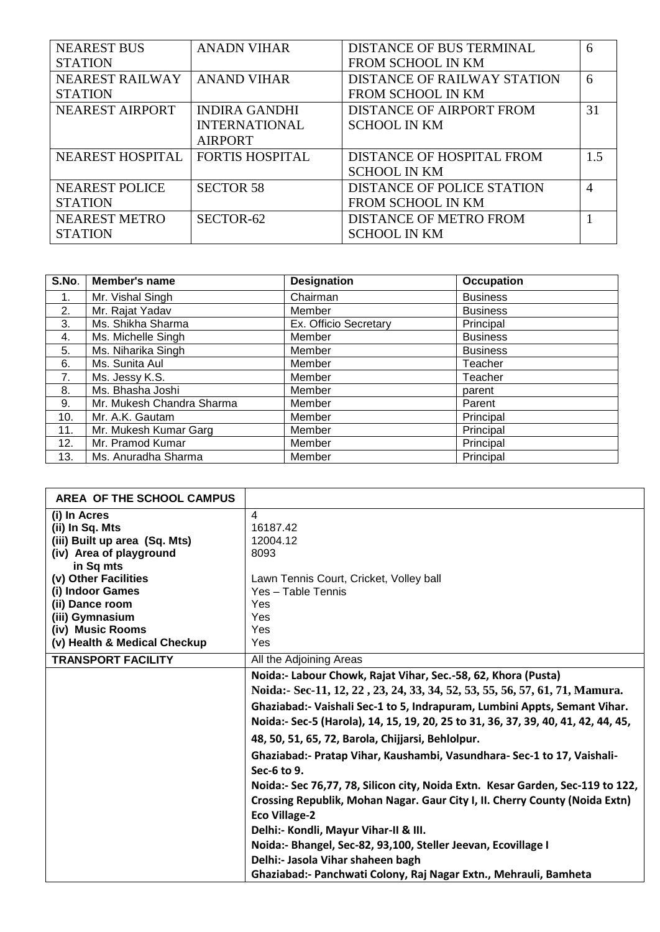| <b>NEAREST BUS</b>      | <b>ANADN VIHAR</b>     | <b>DISTANCE OF BUS TERMINAL</b>    | 6   |
|-------------------------|------------------------|------------------------------------|-----|
| <b>STATION</b>          |                        | <b>FROM SCHOOL IN KM</b>           |     |
| NEAREST RAILWAY         | <b>ANAND VIHAR</b>     | <b>DISTANCE OF RAILWAY STATION</b> | 6   |
| <b>STATION</b>          |                        | FROM SCHOOL IN KM                  |     |
| <b>NEAREST AIRPORT</b>  | <b>INDIRA GANDHI</b>   | <b>DISTANCE OF AIRPORT FROM</b>    | 31  |
|                         | <b>INTERNATIONAL</b>   | <b>SCHOOL IN KM</b>                |     |
|                         | <b>AIRPORT</b>         |                                    |     |
| <b>NEAREST HOSPITAL</b> | <b>FORTIS HOSPITAL</b> | DISTANCE OF HOSPITAL FROM          | 1.5 |
|                         |                        | <b>SCHOOL IN KM</b>                |     |
| <b>NEAREST POLICE</b>   | <b>SECTOR 58</b>       | DISTANCE OF POLICE STATION         | 4   |
| <b>STATION</b>          |                        | <b>FROM SCHOOL IN KM</b>           |     |
| <b>NEAREST METRO</b>    | SECTOR-62              | <b>DISTANCE OF METRO FROM</b>      |     |
| <b>STATION</b>          |                        | <b>SCHOOL IN KM</b>                |     |

| S.No. | Member's name             | <b>Designation</b>    | <b>Occupation</b> |
|-------|---------------------------|-----------------------|-------------------|
| 1.    | Mr. Vishal Singh          | Chairman              | <b>Business</b>   |
| 2.    | Mr. Rajat Yadav           | Member                | <b>Business</b>   |
| 3.    | Ms. Shikha Sharma         | Ex. Officio Secretary | Principal         |
| 4.    | Ms. Michelle Singh        | Member                | <b>Business</b>   |
| 5.    | Ms. Niharika Singh        | Member                | <b>Business</b>   |
| 6.    | Ms. Sunita Aul            | Member                | Teacher           |
| 7.    | Ms. Jessy K.S.            | Member                | Teacher           |
| 8.    | Ms. Bhasha Joshi          | Member                | parent            |
| 9.    | Mr. Mukesh Chandra Sharma | Member                | Parent            |
| 10.   | Mr. A.K. Gautam           | Member                | Principal         |
| 11.   | Mr. Mukesh Kumar Garg     | Member                | Principal         |
| 12.   | Mr. Pramod Kumar          | Member                | Principal         |
| 13.   | Ms. Anuradha Sharma       | Member                | Principal         |

| AREA OF THE SCHOOL CAMPUS                                                                                                                                                                                                                      |                                                                                                                                                                                                                                                                                                                                                                                                                                                                                                                                                                                                                                                                                                                                                                                                                                                                           |
|------------------------------------------------------------------------------------------------------------------------------------------------------------------------------------------------------------------------------------------------|---------------------------------------------------------------------------------------------------------------------------------------------------------------------------------------------------------------------------------------------------------------------------------------------------------------------------------------------------------------------------------------------------------------------------------------------------------------------------------------------------------------------------------------------------------------------------------------------------------------------------------------------------------------------------------------------------------------------------------------------------------------------------------------------------------------------------------------------------------------------------|
| (i) In Acres<br>(ii) In Sq. Mts<br>(iii) Built up area (Sq. Mts)<br>(iv) Area of playground<br>in Sq mts<br>(v) Other Facilities<br>(i) Indoor Games<br>(ii) Dance room<br>(iii) Gymnasium<br>(iv) Music Rooms<br>(v) Health & Medical Checkup | $\overline{\mathbf{4}}$<br>16187.42<br>12004.12<br>8093<br>Lawn Tennis Court, Cricket, Volley ball<br>Yes - Table Tennis<br>Yes<br>Yes<br>Yes<br>Yes                                                                                                                                                                                                                                                                                                                                                                                                                                                                                                                                                                                                                                                                                                                      |
| <b>TRANSPORT FACILITY</b>                                                                                                                                                                                                                      | All the Adjoining Areas                                                                                                                                                                                                                                                                                                                                                                                                                                                                                                                                                                                                                                                                                                                                                                                                                                                   |
|                                                                                                                                                                                                                                                | Noida:- Labour Chowk, Rajat Vihar, Sec.-58, 62, Khora (Pusta)<br>Noida:- Sec-11, 12, 22, 23, 24, 33, 34, 52, 53, 55, 56, 57, 61, 71, Mamura.<br>Ghaziabad:- Vaishali Sec-1 to 5, Indrapuram, Lumbini Appts, Semant Vihar.<br>Noida:- Sec-5 (Harola), 14, 15, 19, 20, 25 to 31, 36, 37, 39, 40, 41, 42, 44, 45,<br>48, 50, 51, 65, 72, Barola, Chijjarsi, Behlolpur.<br>Ghaziabad:- Pratap Vihar, Kaushambi, Vasundhara- Sec-1 to 17, Vaishali-<br>Sec-6 to 9.<br>Noida:- Sec 76,77, 78, Silicon city, Noida Extn. Kesar Garden, Sec-119 to 122,<br>Crossing Republik, Mohan Nagar. Gaur City I, II. Cherry County (Noida Extn)<br><b>Eco Village-2</b><br>Delhi:- Kondli, Mayur Vihar-II & III.<br>Noida:- Bhangel, Sec-82, 93,100, Steller Jeevan, Ecovillage I<br>Delhi:- Jasola Vihar shaheen bagh<br>Ghaziabad:- Panchwati Colony, Raj Nagar Extn., Mehrauli, Bamheta |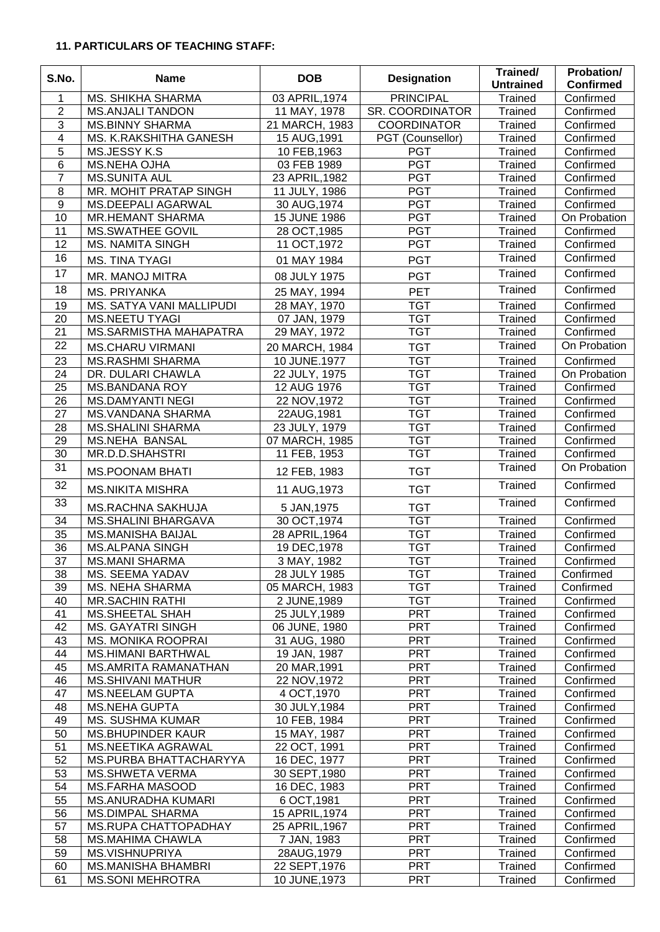#### **11. PARTICULARS OF TEACHING STAFF:**

| S.No.          | <b>Name</b>                                         | <b>DOB</b>                    | <b>Designation</b>       | Trained/<br><b>Untrained</b> | Probation/<br><b>Confirmed</b> |
|----------------|-----------------------------------------------------|-------------------------------|--------------------------|------------------------------|--------------------------------|
| 1              | MS. SHIKHA SHARMA                                   | 03 APRIL, 1974                | <b>PRINCIPAL</b>         | <b>Trained</b>               | Confirmed                      |
| $\overline{c}$ | <b>MS.ANJALI TANDON</b>                             | 11 MAY, 1978                  | <b>SR. COORDINATOR</b>   | Trained                      | Confirmed                      |
| 3              | <b>MS.BINNY SHARMA</b>                              | 21 MARCH, 1983                | <b>COORDINATOR</b>       | Trained                      | Confirmed                      |
| 4              | MS. K.RAKSHITHA GANESH                              | 15 AUG, 1991                  | PGT (Counsellor)         | Trained                      | Confirmed                      |
| 5              | MS.JESSY K.S                                        | 10 FEB, 1963                  | <b>PGT</b>               | <b>Trained</b>               | Confirmed                      |
| 6              | <b>MS.NEHA OJHA</b>                                 | 03 FEB 1989                   | <b>PGT</b>               | Trained                      | Confirmed                      |
| $\overline{7}$ | <b>MS.SUNITA AUL</b>                                | 23 APRIL, 1982                | <b>PGT</b>               | <b>Trained</b>               | Confirmed                      |
| 8              | MR. MOHIT PRATAP SINGH                              | 11 JULY, 1986                 | <b>PGT</b>               | <b>Trained</b>               | Confirmed                      |
| $\overline{9}$ | MS.DEEPALI AGARWAL                                  | 30 AUG, 1974                  | <b>PGT</b>               | Trained                      | Confirmed                      |
| 10             | <b>MR.HEMANT SHARMA</b>                             | 15 JUNE 1986                  | <b>PGT</b>               | Trained                      | On Probation                   |
| 11             | <b>MS.SWATHEE GOVIL</b>                             | 28 OCT, 1985                  | <b>PGT</b>               | <b>Trained</b>               | Confirmed                      |
| 12             | <b>MS. NAMITA SINGH</b>                             | 11 OCT, 1972                  | <b>PGT</b>               | Trained                      | Confirmed                      |
| 16             | <b>MS. TINA TYAGI</b>                               | 01 MAY 1984                   | <b>PGT</b>               | Trained                      | Confirmed                      |
| 17             | MR. MANOJ MITRA                                     | 08 JULY 1975                  | <b>PGT</b>               | Trained                      | Confirmed                      |
| 18             | <b>MS. PRIYANKA</b>                                 | 25 MAY, 1994                  | <b>PET</b>               | Trained                      | Confirmed                      |
| 19             | MS. SATYA VANI MALLIPUDI                            | 28 MAY, 1970                  | <b>TGT</b>               | <b>Trained</b>               | Confirmed                      |
| 20             | MS.NEETU TYAGI                                      | 07 JAN, 1979                  | <b>TGT</b>               | <b>Trained</b>               | Confirmed                      |
| 21             | MS.SARMISTHA MAHAPATRA                              | 29 MAY, 1972                  | <b>TGT</b>               | Trained                      | Confirmed                      |
| 22             |                                                     |                               | <b>TGT</b>               | <b>Trained</b>               | On Probation                   |
| 23             | <b>MS.CHARU VIRMANI</b>                             | 20 MARCH, 1984                | <b>TGT</b>               |                              | Confirmed                      |
| 24             | <b>MS.RASHMI SHARMA</b><br>DR. DULARI CHAWLA        | 10 JUNE.1977<br>22 JULY, 1975 | <b>TGT</b>               | <b>Trained</b><br>Trained    | On Probation                   |
| 25             | <b>MS.BANDANA ROY</b>                               | 12 AUG 1976                   | <b>TGT</b>               | Trained                      | Confirmed                      |
| 26             | <b>MS.DAMYANTI NEGI</b>                             | 22 NOV, 1972                  | <b>TGT</b>               | <b>Trained</b>               | Confirmed                      |
| 27             | MS.VANDANA SHARMA                                   | 22AUG, 1981                   | <b>TGT</b>               | Trained                      | Confirmed                      |
| 28             | <b>MS.SHALINI SHARMA</b>                            | 23 JULY, 1979                 | <b>TGT</b>               | Trained                      | Confirmed                      |
| 29             | <b>MS.NEHA BANSAL</b>                               | 07 MARCH, 1985                | <b>TGT</b>               | <b>Trained</b>               | Confirmed                      |
| 30             | MR.D.D.SHAHSTRI                                     | 11 FEB, 1953                  | <b>TGT</b>               | <b>Trained</b>               | Confirmed                      |
| 31             |                                                     |                               |                          | <b>Trained</b>               | On Probation                   |
| 32             | <b>MS.POONAM BHATI</b>                              | 12 FEB, 1983                  | <b>TGT</b>               | Trained                      | Confirmed                      |
| 33             | <b>MS.NIKITA MISHRA</b><br><b>MS.RACHNA SAKHUJA</b> | 11 AUG, 1973<br>5 JAN, 1975   | <b>TGT</b><br><b>TGT</b> | Trained                      | Confirmed                      |
| 34             | <b>MS.SHALINI BHARGAVA</b>                          | 30 OCT, 1974                  | <b>TGT</b>               | <b>Trained</b>               | Confirmed                      |
| 35             | <b>MS.MANISHA BAIJAL</b>                            | 28 APRIL, 1964                | <b>TGT</b>               | Trained                      | Confirmed                      |
| 36             | <b>MS.ALPANA SINGH</b>                              | 19 DEC, 1978                  | <b>TGT</b>               | <b>Trained</b>               | Confirmed                      |
| 37             | <b>MS.MANI SHARMA</b>                               | 3 MAY, 1982                   | <b>TGT</b>               | Trained                      | Confirmed                      |
| 38             | MS. SEEMA YADAV                                     | 28 JULY 1985                  | <b>TGT</b>               | Trained                      | Confirmed                      |
| 39             | <b>MS. NEHA SHARMA</b>                              | 05 MARCH, 1983                | <b>TGT</b>               | <b>Trained</b>               | Confirmed                      |
| 40             | <b>MR.SACHIN RATHI</b>                              | 2 JUNE, 1989                  | <b>TGT</b>               | <b>Trained</b>               | Confirmed                      |
| 41             | <b>MS.SHEETAL SHAH</b>                              | 25 JULY, 1989                 | <b>PRT</b>               | <b>Trained</b>               | Confirmed                      |
| 42             | <b>MS. GAYATRI SINGH</b>                            | 06 JUNE, 1980                 | <b>PRT</b>               | <b>Trained</b>               | Confirmed                      |
| 43             | <b>MS. MONIKA ROOPRAI</b>                           | 31 AUG, 1980                  | <b>PRT</b>               | <b>Trained</b>               | Confirmed                      |
| 44             | <b>MS.HIMANI BARTHWAL</b>                           | 19 JAN, 1987                  | <b>PRT</b>               | <b>Trained</b>               | Confirmed                      |
| 45             | MS.AMRITA RAMANATHAN                                | 20 MAR, 1991                  | <b>PRT</b>               | <b>Trained</b>               | Confirmed                      |
| 46             | <b>MS.SHIVANI MATHUR</b>                            | 22 NOV, 1972                  | <b>PRT</b>               | <b>Trained</b>               | Confirmed                      |
| 47             | <b>MS.NEELAM GUPTA</b>                              | 4 OCT, 1970                   | <b>PRT</b>               | <b>Trained</b>               | Confirmed                      |
| 48             | <b>MS.NEHA GUPTA</b>                                | 30 JULY, 1984                 | <b>PRT</b>               | <b>Trained</b>               | Confirmed                      |
| 49             | <b>MS. SUSHMA KUMAR</b>                             | 10 FEB, 1984                  | <b>PRT</b>               | <b>Trained</b>               | Confirmed                      |
| 50             | <b>MS.BHUPINDER KAUR</b>                            | 15 MAY, 1987                  | <b>PRT</b>               | <b>Trained</b>               | Confirmed                      |
| 51             | MS.NEETIKA AGRAWAL                                  | 22 OCT, 1991                  | <b>PRT</b>               | <b>Trained</b>               | Confirmed                      |
| 52             | MS.PURBA BHATTACHARYYA                              | 16 DEC, 1977                  | <b>PRT</b>               | <b>Trained</b>               | Confirmed                      |
| 53             | <b>MS.SHWETA VERMA</b>                              | 30 SEPT, 1980                 | <b>PRT</b>               | <b>Trained</b>               | Confirmed                      |
| 54             | <b>MS.FARHA MASOOD</b>                              | 16 DEC, 1983                  | <b>PRT</b>               | <b>Trained</b>               | Confirmed                      |
| 55             | <b>MS.ANURADHA KUMARI</b>                           | 6 OCT, 1981                   | <b>PRT</b>               | <b>Trained</b>               | Confirmed                      |
| 56             | <b>MS.DIMPAL SHARMA</b>                             | 15 APRIL, 1974                | <b>PRT</b>               | <b>Trained</b>               | Confirmed                      |
| 57             | MS.RUPA CHATTOPADHAY                                | 25 APRIL, 1967                | <b>PRT</b>               | <b>Trained</b>               | Confirmed                      |
| 58             | <b>MS.MAHIMA CHAWLA</b>                             | 7 JAN, 1983                   | <b>PRT</b>               | <b>Trained</b>               | Confirmed                      |
| 59             | <b>MS.VISHNUPRIYA</b>                               | 28AUG, 1979                   | <b>PRT</b>               | <b>Trained</b>               | Confirmed                      |
| 60             | <b>MS.MANISHA BHAMBRI</b>                           | 22 SEPT, 1976                 | <b>PRT</b>               | Trained                      | Confirmed                      |
| 61             | <b>MS.SONI MEHROTRA</b>                             | 10 JUNE, 1973                 | <b>PRT</b>               | Trained                      | Confirmed                      |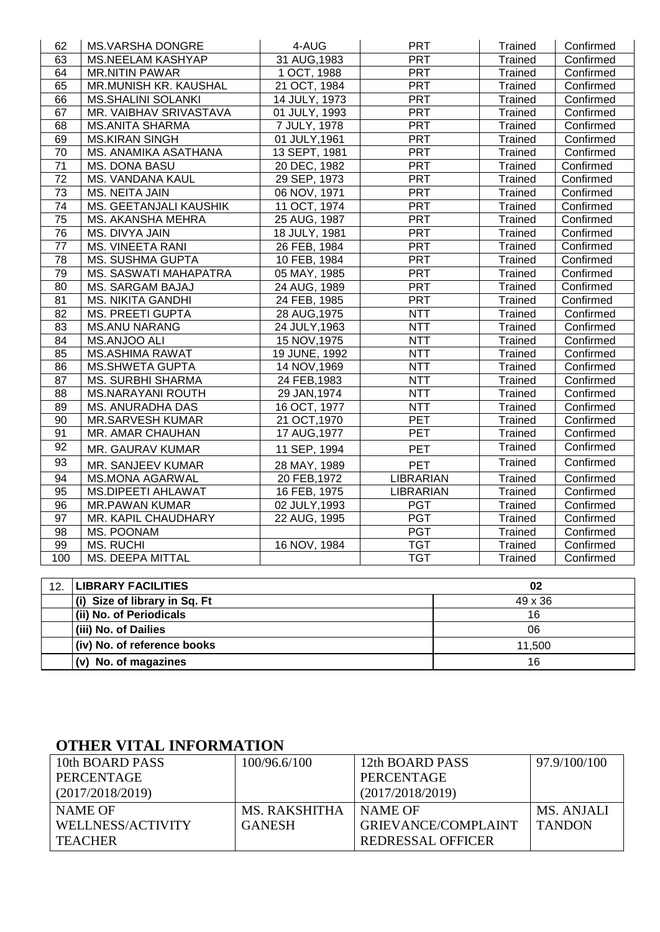| 62                                     | <b>MS.VARSHA DONGRE</b>       | 4-AUG         | <b>PRT</b>       | Trained        | Confirmed |  |  |  |  |
|----------------------------------------|-------------------------------|---------------|------------------|----------------|-----------|--|--|--|--|
| 63                                     | <b>MS.NEELAM KASHYAP</b>      | 31 AUG, 1983  | PRT              | Trained        | Confirmed |  |  |  |  |
| 64                                     | <b>MR.NITIN PAWAR</b>         | 1 OCT, 1988   | PRT              | Trained        | Confirmed |  |  |  |  |
| 65                                     | MR.MUNISH KR. KAUSHAL         | 21 OCT, 1984  | <b>PRT</b>       | Trained        | Confirmed |  |  |  |  |
| 66                                     | <b>MS.SHALINI SOLANKI</b>     | 14 JULY, 1973 | <b>PRT</b>       | Trained        | Confirmed |  |  |  |  |
| 67                                     | MR. VAIBHAV SRIVASTAVA        | 01 JULY, 1993 | PRT              | Trained        | Confirmed |  |  |  |  |
| 68                                     | <b>MS.ANITA SHARMA</b>        | 7 JULY, 1978  | <b>PRT</b>       | Trained        | Confirmed |  |  |  |  |
| 69                                     | <b>MS.KIRAN SINGH</b>         | 01 JULY, 1961 | <b>PRT</b>       | <b>Trained</b> | Confirmed |  |  |  |  |
| 70                                     | MS. ANAMIKA ASATHANA          | 13 SEPT, 1981 | PRT              | <b>Trained</b> | Confirmed |  |  |  |  |
| 71                                     | MS. DONA BASU                 | 20 DEC, 1982  | <b>PRT</b>       | Trained        | Confirmed |  |  |  |  |
| 72                                     | MS. VANDANA KAUL              | 29 SEP, 1973  | <b>PRT</b>       | Trained        | Confirmed |  |  |  |  |
| 73                                     | MS. NEITA JAIN                | 06 NOV, 1971  | <b>PRT</b>       | Trained        | Confirmed |  |  |  |  |
| 74                                     | MS. GEETANJALI KAUSHIK        | 11 OCT, 1974  | <b>PRT</b>       | Trained        | Confirmed |  |  |  |  |
| 75                                     | MS. AKANSHA MEHRA             | 25 AUG, 1987  | <b>PRT</b>       | <b>Trained</b> | Confirmed |  |  |  |  |
| 76                                     | MS. DIVYA JAIN                | 18 JULY, 1981 | <b>PRT</b>       | <b>Trained</b> | Confirmed |  |  |  |  |
| 77                                     | <b>MS. VINEETA RANI</b>       | 26 FEB, 1984  | <b>PRT</b>       | Trained        | Confirmed |  |  |  |  |
| 78                                     | MS. SUSHMA GUPTA              | 10 FEB, 1984  | PRT              | <b>Trained</b> | Confirmed |  |  |  |  |
| 79                                     | MS. SASWATI MAHAPATRA         | 05 MAY, 1985  | <b>PRT</b>       | <b>Trained</b> | Confirmed |  |  |  |  |
| 80                                     | MS. SARGAM BAJAJ              | 24 AUG, 1989  | <b>PRT</b>       | <b>Trained</b> | Confirmed |  |  |  |  |
| 81                                     | <b>MS. NIKITA GANDHI</b>      | 24 FEB, 1985  | PRT              | <b>Trained</b> | Confirmed |  |  |  |  |
| 82                                     | <b>MS. PREETI GUPTA</b>       | 28 AUG, 1975  | <b>NTT</b>       | <b>Trained</b> | Confirmed |  |  |  |  |
| 83                                     | <b>MS.ANU NARANG</b>          | 24 JULY, 1963 | <b>NTT</b>       | <b>Trained</b> | Confirmed |  |  |  |  |
| 84                                     | MS.ANJOO ALI                  | 15 NOV, 1975  | <b>NTT</b>       | <b>Trained</b> | Confirmed |  |  |  |  |
| 85                                     | <b>MS.ASHIMA RAWAT</b>        | 19 JUNE, 1992 | <b>NTT</b>       | Trained        | Confirmed |  |  |  |  |
| 86                                     | <b>MS.SHWETA GUPTA</b>        | 14 NOV, 1969  | <b>NTT</b>       | Trained        | Confirmed |  |  |  |  |
| 87                                     | <b>MS. SURBHI SHARMA</b>      | 24 FEB, 1983  | <b>NTT</b>       | <b>Trained</b> | Confirmed |  |  |  |  |
| 88                                     | <b>MS.NARAYANI ROUTH</b>      | 29 JAN, 1974  | <b>NTT</b>       | Trained        | Confirmed |  |  |  |  |
| 89                                     | MS. ANURADHA DAS              | 16 OCT, 1977  | <b>NTT</b>       | Trained        | Confirmed |  |  |  |  |
| 90                                     | <b>MR.SARVESH KUMAR</b>       | 21 OCT, 1970  | PET              | <b>Trained</b> | Confirmed |  |  |  |  |
| 91                                     | MR. AMAR CHAUHAN              | 17 AUG, 1977  | PET              | <b>Trained</b> | Confirmed |  |  |  |  |
| 92                                     | MR. GAURAV KUMAR              | 11 SEP, 1994  | <b>PET</b>       | <b>Trained</b> | Confirmed |  |  |  |  |
| 93                                     | MR. SANJEEV KUMAR             | 28 MAY, 1989  | <b>PET</b>       | Trained        | Confirmed |  |  |  |  |
| 94                                     | <b>MS.MONA AGARWAL</b>        | 20 FEB, 1972  | <b>LIBRARIAN</b> | <b>Trained</b> | Confirmed |  |  |  |  |
| 95                                     | <b>MS.DIPEETI AHLAWAT</b>     | 16 FEB, 1975  | <b>LIBRARIAN</b> | <b>Trained</b> | Confirmed |  |  |  |  |
| 96                                     | <b>MR.PAWAN KUMAR</b>         | 02 JULY, 1993 | <b>PGT</b>       | <b>Trained</b> | Confirmed |  |  |  |  |
| $\overline{97}$                        | MR. KAPIL CHAUDHARY           | 22 AUG, 1995  | <b>PGT</b>       | <b>Trained</b> | Confirmed |  |  |  |  |
| 98                                     | MS. POONAM                    |               | <b>PGT</b>       | Trained        | Confirmed |  |  |  |  |
| 99                                     | <b>MS. RUCHI</b>              | 16 NOV, 1984  | <b>TGT</b>       | <b>Trained</b> | Confirmed |  |  |  |  |
| 100                                    | <b>MS. DEEPA MITTAL</b>       |               | <b>TGT</b>       | <b>Trained</b> | Confirmed |  |  |  |  |
|                                        |                               |               |                  |                |           |  |  |  |  |
| 12.<br><b>LIBRARY FACILITIES</b><br>02 |                               |               |                  |                |           |  |  |  |  |
|                                        | (i) Size of library in Sq. Ft | 49 x 36       |                  |                |           |  |  |  |  |
|                                        | (ii) No. of Periodicals       | 16            |                  |                |           |  |  |  |  |
|                                        | (iii) No. of Dailies          | 06            |                  |                |           |  |  |  |  |
|                                        | (iv) No. of reference books   |               |                  | 11,500         |           |  |  |  |  |

#### **OTHER VITAL INFORMATION**

| 10th BOARD PASS   | 100/96.6/100  | 12th BOARD PASS     | 97.9/100/100  |
|-------------------|---------------|---------------------|---------------|
| PERCENTAGE        |               | PERCENTAGE          |               |
| (2017/2018/2019)  |               | (2017/2018/2019)    |               |
| NAME OF           | MS. RAKSHITHA | NAME OF             | MS. ANJALI    |
| WELLNESS/ACTIVITY | <b>GANESH</b> | GRIEVANCE/COMPLAINT | <b>TANDON</b> |
| <b>TEACHER</b>    |               | REDRESSAL OFFICER   |               |

**(v) No. of magazines** 16